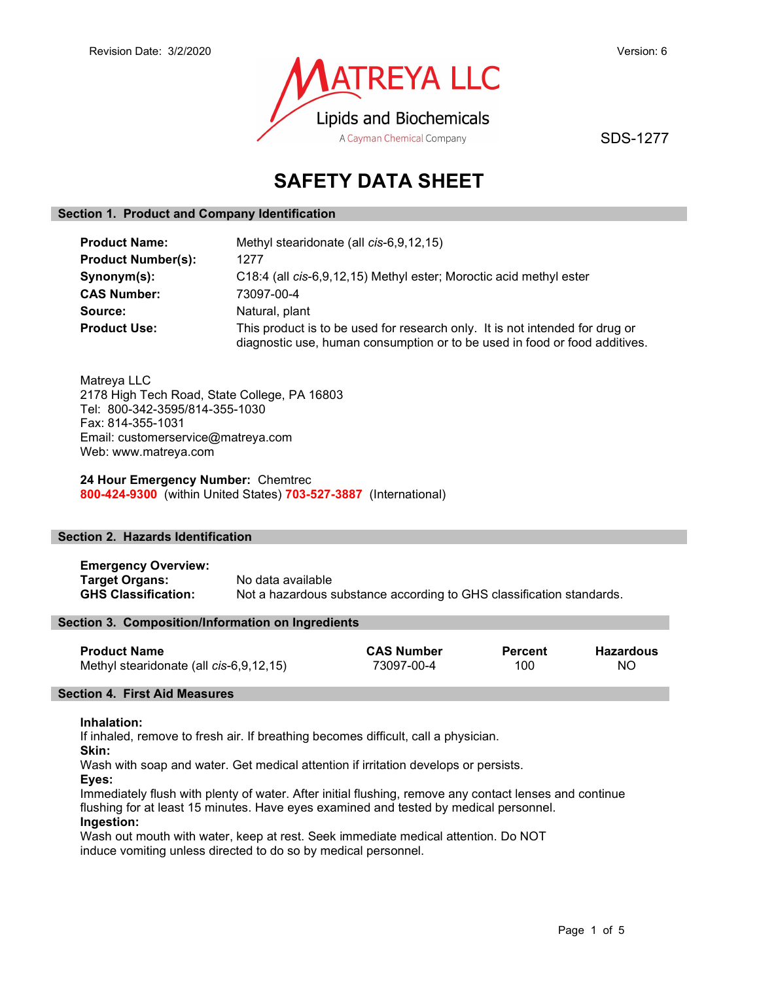

SDS-1277

# SAFETY DATA SHEET

## Section 1. Product and Company Identification

| <b>Product Name:</b>      | Methyl stearidonate (all cis-6,9,12,15)                                                                                                                    |  |  |
|---------------------------|------------------------------------------------------------------------------------------------------------------------------------------------------------|--|--|
| <b>Product Number(s):</b> | 1277                                                                                                                                                       |  |  |
| Synonym(s):               | C18:4 (all cis-6,9,12,15) Methyl ester; Moroctic acid methyl ester                                                                                         |  |  |
| <b>CAS Number:</b>        | 73097-00-4                                                                                                                                                 |  |  |
| Source:                   | Natural, plant                                                                                                                                             |  |  |
| <b>Product Use:</b>       | This product is to be used for research only. It is not intended for drug or<br>diagnostic use, human consumption or to be used in food or food additives. |  |  |

Matreya LLC 2178 High Tech Road, State College, PA 16803 Tel: 800-342-3595/814-355-1030 Fax: 814-355-1031 Email: customerservice@matreya.com Web: www.matreya.com

24 Hour Emergency Number: Chemtrec 800-424-9300 (within United States) 703-527-3887 (International)

## Section 2. Hazards Identification

Emergency Overview: **Target Organs:** No data available<br> **GHS Classification:** Not a hazardous s Not a hazardous substance according to GHS classification standards.

## Section 3. Composition/Information on Ingredients

| <b>Product Name</b>                     | <b>CAS Number</b> | Percent | Hazardous |
|-----------------------------------------|-------------------|---------|-----------|
| Methyl stearidonate (all cis-6,9,12,15) | 73097-00-4        | 100     | ΝO        |

## Section 4. First Aid Measures

## Inhalation:

If inhaled, remove to fresh air. If breathing becomes difficult, call a physician.

Skin:

Wash with soap and water. Get medical attention if irritation develops or persists.

Eyes:

Immediately flush with plenty of water. After initial flushing, remove any contact lenses and continue flushing for at least 15 minutes. Have eyes examined and tested by medical personnel. Ingestion:

Wash out mouth with water, keep at rest. Seek immediate medical attention. Do NOT induce vomiting unless directed to do so by medical personnel.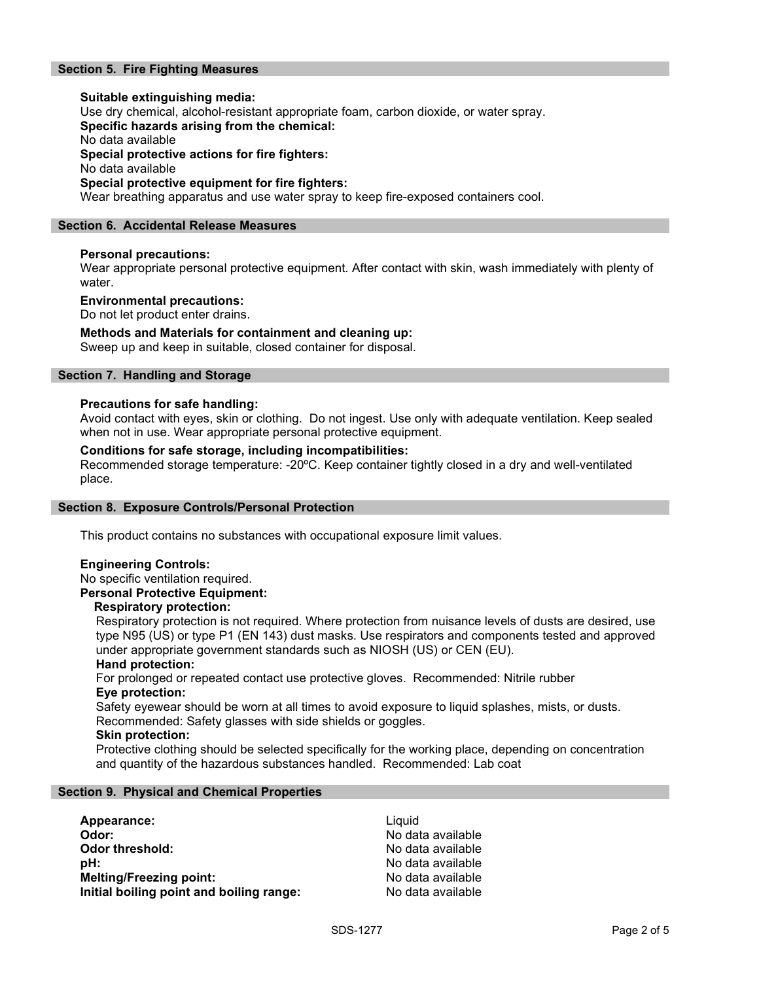## Section 5. Fire Fighting Measures

Suitable extinguishing media: Use dry chemical, alcohol-resistant appropriate foam, carbon dioxide, or water spray. Specific hazards arising from the chemical: No data available Special protective actions for fire fighters: No data available Special protective equipment for fire fighters: Wear breathing apparatus and use water spray to keep fire-exposed containers cool.

## Section 6. Accidental Release Measures

## Personal precautions:

Wear appropriate personal protective equipment. After contact with skin, wash immediately with plenty of water.

## Environmental precautions:

Do not let product enter drains.

## Methods and Materials for containment and cleaning up:

Sweep up and keep in suitable, closed container for disposal.

## Section 7. Handling and Storage

## Precautions for safe handling:

Avoid contact with eyes, skin or clothing. Do not ingest. Use only with adequate ventilation. Keep sealed when not in use. Wear appropriate personal protective equipment.

## Conditions for safe storage, including incompatibilities:

Recommended storage temperature: -20ºC. Keep container tightly closed in a dry and well-ventilated place.

## Section 8. Exposure Controls/Personal Protection

This product contains no substances with occupational exposure limit values.

## Engineering Controls:

No specific ventilation required.

## Personal Protective Equipment:

## Respiratory protection:

Respiratory protection is not required. Where protection from nuisance levels of dusts are desired, use type N95 (US) or type P1 (EN 143) dust masks. Use respirators and components tested and approved under appropriate government standards such as NIOSH (US) or CEN (EU).

## Hand protection:

For prolonged or repeated contact use protective gloves. Recommended: Nitrile rubber Eye protection:

Safety eyewear should be worn at all times to avoid exposure to liquid splashes, mists, or dusts. Recommended: Safety glasses with side shields or goggles.

## Skin protection:

Protective clothing should be selected specifically for the working place, depending on concentration and quantity of the hazardous substances handled. Recommended: Lab coat

## Section 9. Physical and Chemical Properties

| Appearance:                              | Liauid            |
|------------------------------------------|-------------------|
| Odor:                                    | No data available |
| Odor threshold:                          | No data available |
| :bH                                      | No data available |
| <b>Melting/Freezing point:</b>           | No data available |
| Initial boiling point and boiling range: | No data available |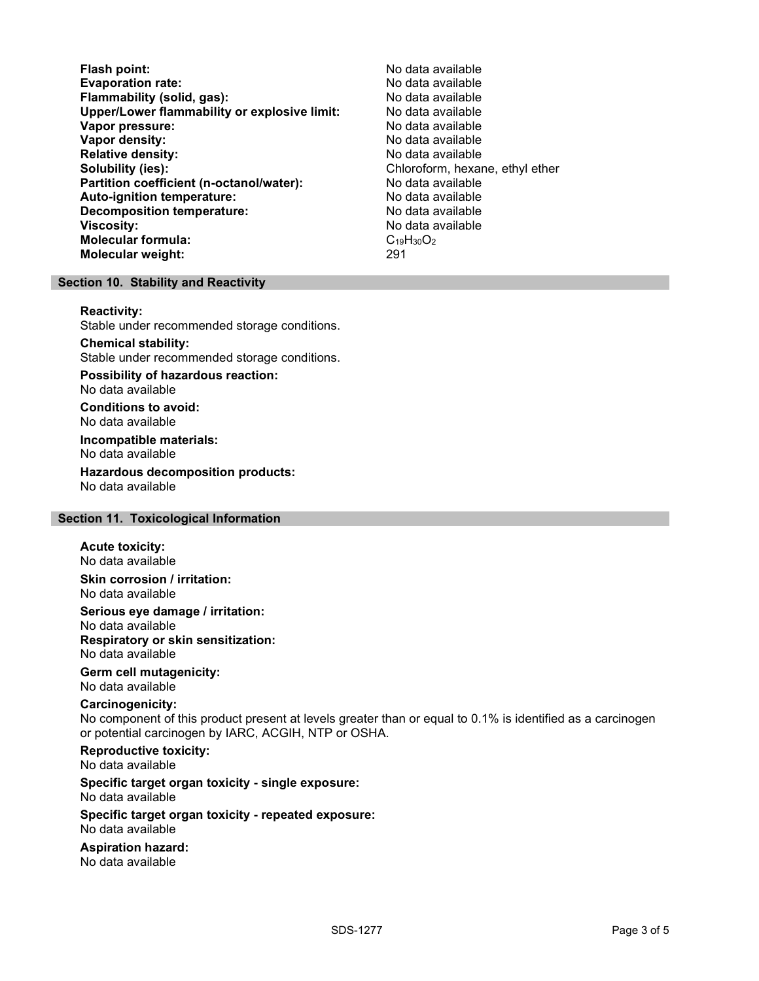Flash point:<br>
Evaporation rate: No data available<br>
No data available Evaporation rate:<br>
Flammability (solid. gas): No data available Flammability (solid, gas): Upper/Lower flammability or explosive limit: No data available Vapor pressure: No data available **Vapor density:** No data available in the set of the set of the No data available Relative density: No data available Solubility (ies): Chloroform, hexane, ethyl ether Partition coefficient (n-octanol/water): No data available Auto-ignition temperature: No data available Decomposition temperature: **Viscosity:** No data available and the set of the set of the set of the set of the set of the set of the set of the set of the set of the set of the set of the set of the set of the set of the set of the set of the set of Molecular formula:  $C_{19}H_{30}O_2$ <br>Molecular weight:  $291$ Molecular weight:

## Section 10. Stability and Reactivity

#### Reactivity:

Stable under recommended storage conditions.

Chemical stability: Stable under recommended storage conditions.

Possibility of hazardous reaction: No data available

Conditions to avoid: No data available

Incompatible materials: No data available

Hazardous decomposition products: No data available

## Section 11. Toxicological Information

## Acute toxicity:

No data available Skin corrosion / irritation:

No data available

Serious eye damage / irritation:

No data available Respiratory or skin sensitization: No data available

## Germ cell mutagenicity:

No data available

## Carcinogenicity:

No component of this product present at levels greater than or equal to 0.1% is identified as a carcinogen or potential carcinogen by IARC, ACGIH, NTP or OSHA.

Reproductive toxicity: No data available

Specific target organ toxicity - single exposure: No data available

### Specific target organ toxicity - repeated exposure: No data available

Aspiration hazard: No data available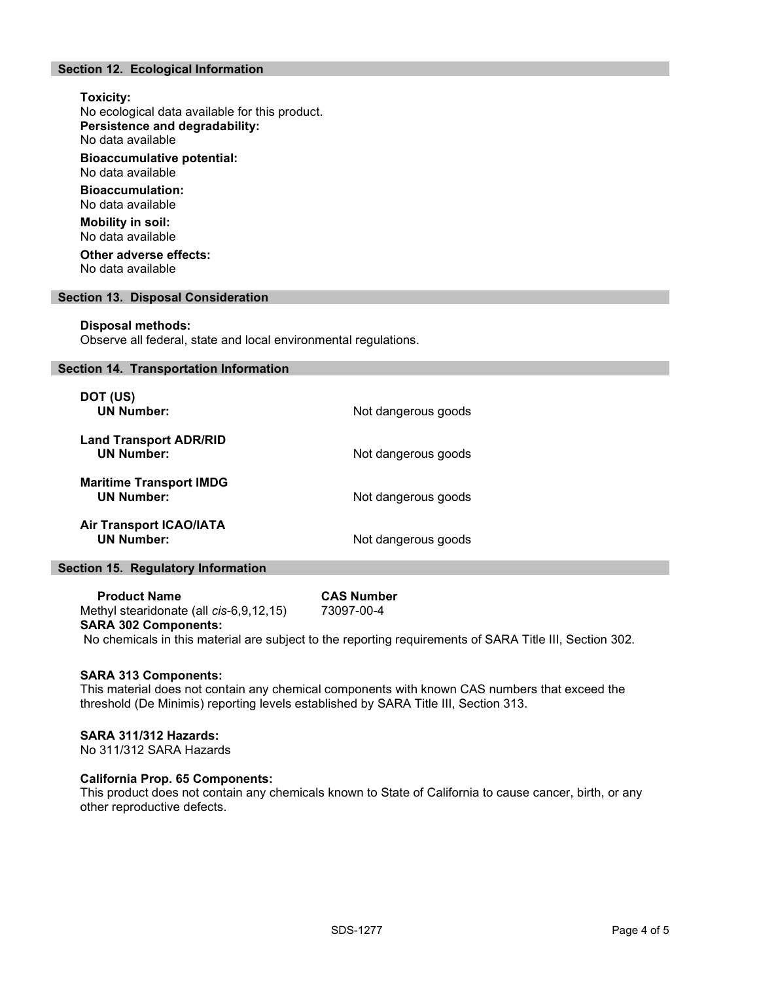## Section 12. Ecological Information

## Toxicity: No ecological data available for this product. Persistence and degradability: No data available Bioaccumulative potential: No data available Bioaccumulation: No data available Mobility in soil: No data available Other adverse effects: No data available Section 13. Disposal Consideration

## Disposal methods:

Observe all federal, state and local environmental regulations.

## Section 14. Transportation Information

| DOT (US)<br><b>UN Number:</b>                       | Not dangerous goods |
|-----------------------------------------------------|---------------------|
| <b>Land Transport ADR/RID</b><br><b>UN Number:</b>  | Not dangerous goods |
| <b>Maritime Transport IMDG</b><br><b>UN Number:</b> | Not dangerous goods |
| <b>Air Transport ICAO/IATA</b><br><b>UN Number:</b> | Not dangerous goods |

## Section 15. Regulatory Information

Product Name<br>
thyl stearidonate (all cis-6.9.12.15) 73097-00-4 Methyl stearidonate (all  $cis-6,9,12,15$ ) SARA 302 Components:

## No chemicals in this material are subject to the reporting requirements of SARA Title III, Section 302.

## SARA 313 Components:

This material does not contain any chemical components with known CAS numbers that exceed the threshold (De Minimis) reporting levels established by SARA Title III, Section 313.

## SARA 311/312 Hazards:

No 311/312 SARA Hazards

## California Prop. 65 Components:

This product does not contain any chemicals known to State of California to cause cancer, birth, or any other reproductive defects.